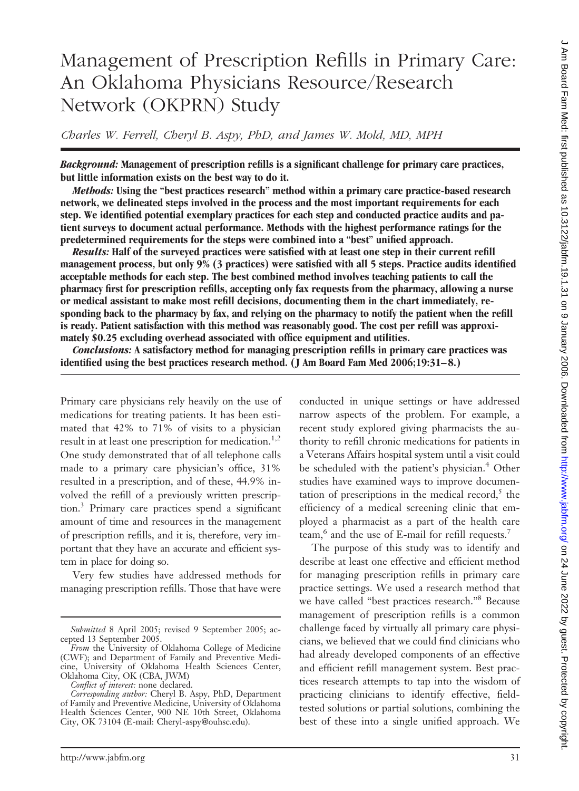# Management of Prescription Refills in Primary Care: An Oklahoma Physicians Resource/Research Network (OKPRN) Study

*Charles W. Ferrell, Cheryl B. Aspy, PhD, and James W. Mold, MD, MPH*

*Background:* **Management of prescription refills is a significant challenge for primary care practices, but little information exists on the best way to do it.**

*Methods:* **Using the "best practices research" method within a primary care practice-based research network, we delineated steps involved in the process and the most important requirements for each step. We identified potential exemplary practices for each step and conducted practice audits and patient surveys to document actual performance. Methods with the highest performance ratings for the predetermined requirements for the steps were combined into a "best" unified approach.**

*Results:* **Half of the surveyed practices were satisfied with at least one step in their current refill management process, but only 9% (3 practices) were satisfied with all 5 steps. Practice audits identified acceptable methods for each step. The best combined method involves teaching patients to call the pharmacy first for prescription refills, accepting only fax requests from the pharmacy, allowing a nurse or medical assistant to make most refill decisions, documenting them in the chart immediately, responding back to the pharmacy by fax, and relying on the pharmacy to notify the patient when the refill is ready. Patient satisfaction with this method was reasonably good. The cost per refill was approximately \$0.25 excluding overhead associated with office equipment and utilities.**

*Conclusions:* **A satisfactory method for managing prescription refills in primary care practices was identified using the best practices research method. (J Am Board Fam Med 2006;19:31–8.)** 

Primary care physicians rely heavily on the use of medications for treating patients. It has been estimated that 42% to 71% of visits to a physician result in at least one prescription for medication.<sup>1,2</sup> One study demonstrated that of all telephone calls made to a primary care physician's office, 31% resulted in a prescription, and of these, 44.9% involved the refill of a previously written prescription.3 Primary care practices spend a significant amount of time and resources in the management of prescription refills, and it is, therefore, very important that they have an accurate and efficient system in place for doing so.

Very few studies have addressed methods for managing prescription refills. Those that have were

*Conflict of interest:* none declared.

conducted in unique settings or have addressed narrow aspects of the problem. For example, a recent study explored giving pharmacists the authority to refill chronic medications for patients in a Veterans Affairs hospital system until a visit could be scheduled with the patient's physician.<sup>4</sup> Other studies have examined ways to improve documentation of prescriptions in the medical record, $5$  the efficiency of a medical screening clinic that employed a pharmacist as a part of the health care team,<sup>6</sup> and the use of E-mail for refill requests.<sup>7</sup>

The purpose of this study was to identify and describe at least one effective and efficient method for managing prescription refills in primary care practice settings. We used a research method that we have called "best practices research."8 Because management of prescription refills is a common challenge faced by virtually all primary care physicians, we believed that we could find clinicians who had already developed components of an effective and efficient refill management system. Best practices research attempts to tap into the wisdom of practicing clinicians to identify effective, fieldtested solutions or partial solutions, combining the best of these into a single unified approach. We

*Submitted* 8 April 2005; revised 9 September 2005; accepted 13 September 2005.

*From* the University of Oklahoma College of Medicine (CWF); and Department of Family and Preventive Medicine, University of Oklahoma Health Sciences Center, Oklahoma City, OK (CBA, JWM)

*Corresponding author:* Cheryl B. Aspy, PhD, Department of Family and Preventive Medicine, University of Oklahoma Health Sciences Center, 900 NE 10th Street, Oklahoma City, OK 73104 (E-mail: Cheryl-aspy@ouhsc.edu).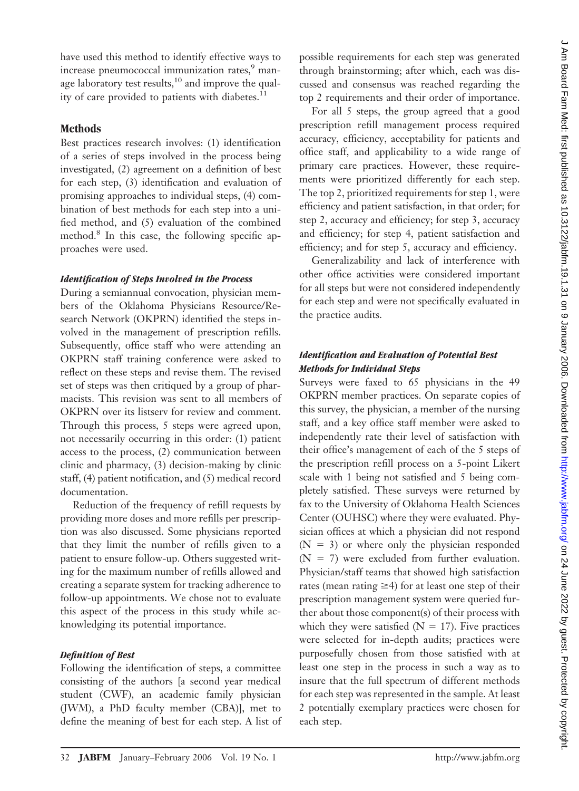have used this method to identify effective ways to increase pneumococcal immunization rates,<sup>9</sup> manage laboratory test results,<sup>10</sup> and improve the quality of care provided to patients with diabetes.<sup>11</sup>

## **Methods**

Best practices research involves: (1) identification of a series of steps involved in the process being investigated, (2) agreement on a definition of best for each step, (3) identification and evaluation of promising approaches to individual steps, (4) combination of best methods for each step into a unified method, and (5) evaluation of the combined method.8 In this case, the following specific approaches were used.

#### *Identification of Steps Involved in the Process*

During a semiannual convocation, physician members of the Oklahoma Physicians Resource/Research Network (OKPRN) identified the steps involved in the management of prescription refills. Subsequently, office staff who were attending an OKPRN staff training conference were asked to reflect on these steps and revise them. The revised set of steps was then critiqued by a group of pharmacists. This revision was sent to all members of OKPRN over its listserv for review and comment. Through this process, 5 steps were agreed upon, not necessarily occurring in this order: (1) patient access to the process, (2) communication between clinic and pharmacy, (3) decision-making by clinic staff, (4) patient notification, and (5) medical record documentation.

Reduction of the frequency of refill requests by providing more doses and more refills per prescription was also discussed. Some physicians reported that they limit the number of refills given to a patient to ensure follow-up. Others suggested writing for the maximum number of refills allowed and creating a separate system for tracking adherence to follow-up appointments. We chose not to evaluate this aspect of the process in this study while acknowledging its potential importance.

### *Definition of Best*

Following the identification of steps, a committee consisting of the authors [a second year medical student (CWF), an academic family physician (JWM), a PhD faculty member (CBA)], met to define the meaning of best for each step. A list of possible requirements for each step was generated through brainstorming; after which, each was discussed and consensus was reached regarding the top 2 requirements and their order of importance.

For all 5 steps, the group agreed that a good prescription refill management process required accuracy, efficiency, acceptability for patients and office staff, and applicability to a wide range of primary care practices. However, these requirements were prioritized differently for each step. The top 2, prioritized requirements for step 1, were efficiency and patient satisfaction, in that order; for step 2, accuracy and efficiency; for step 3, accuracy and efficiency; for step 4, patient satisfaction and efficiency; and for step 5, accuracy and efficiency.

Generalizability and lack of interference with other office activities were considered important for all steps but were not considered independently for each step and were not specifically evaluated in the practice audits.

## *Identification and Evaluation of Potential Best Methods for Individual Steps*

Surveys were faxed to 65 physicians in the 49 OKPRN member practices. On separate copies of this survey, the physician, a member of the nursing staff, and a key office staff member were asked to independently rate their level of satisfaction with their office's management of each of the 5 steps of the prescription refill process on a 5-point Likert scale with 1 being not satisfied and 5 being completely satisfied. These surveys were returned by fax to the University of Oklahoma Health Sciences Center (OUHSC) where they were evaluated. Physician offices at which a physician did not respond  $(N = 3)$  or where only the physician responded ( $N = 7$ ) were excluded from further evaluation. Physician/staff teams that showed high satisfaction rates (mean rating  $\geq$ 4) for at least one step of their prescription management system were queried further about those component(s) of their process with which they were satisfied  $(N = 17)$ . Five practices were selected for in-depth audits; practices were purposefully chosen from those satisfied with at least one step in the process in such a way as to insure that the full spectrum of different methods for each step was represented in the sample. At least 2 potentially exemplary practices were chosen for each step.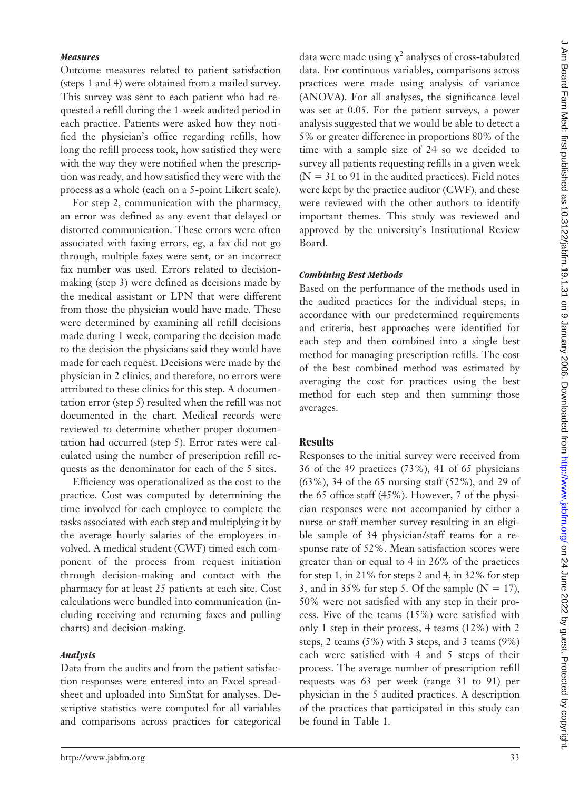Outcome measures related to patient satisfaction (steps 1 and 4) were obtained from a mailed survey. This survey was sent to each patient who had requested a refill during the 1-week audited period in each practice. Patients were asked how they notified the physician's office regarding refills, how long the refill process took, how satisfied they were with the way they were notified when the prescription was ready, and how satisfied they were with the process as a whole (each on a 5-point Likert scale).

For step 2, communication with the pharmacy, an error was defined as any event that delayed or distorted communication. These errors were often associated with faxing errors, eg, a fax did not go through, multiple faxes were sent, or an incorrect fax number was used. Errors related to decisionmaking (step 3) were defined as decisions made by the medical assistant or LPN that were different from those the physician would have made. These were determined by examining all refill decisions made during 1 week, comparing the decision made to the decision the physicians said they would have made for each request. Decisions were made by the physician in 2 clinics, and therefore, no errors were attributed to these clinics for this step. A documentation error (step 5) resulted when the refill was not documented in the chart. Medical records were reviewed to determine whether proper documentation had occurred (step 5). Error rates were calculated using the number of prescription refill requests as the denominator for each of the 5 sites.

Efficiency was operationalized as the cost to the practice. Cost was computed by determining the time involved for each employee to complete the tasks associated with each step and multiplying it by the average hourly salaries of the employees involved. A medical student (CWF) timed each component of the process from request initiation through decision-making and contact with the pharmacy for at least 25 patients at each site. Cost calculations were bundled into communication (including receiving and returning faxes and pulling charts) and decision-making.

# *Analysis*

Data from the audits and from the patient satisfaction responses were entered into an Excel spreadsheet and uploaded into SimStat for analyses. Descriptive statistics were computed for all variables and comparisons across practices for categorical

data were made using  $\chi^2$  analyses of cross-tabulated data. For continuous variables, comparisons across practices were made using analysis of variance (ANOVA). For all analyses, the significance level was set at 0.05. For the patient surveys, a power analysis suggested that we would be able to detect a 5% or greater difference in proportions 80% of the time with a sample size of 24 so we decided to survey all patients requesting refills in a given week  $(N = 31$  to 91 in the audited practices). Field notes were kept by the practice auditor (CWF), and these were reviewed with the other authors to identify important themes. This study was reviewed and approved by the university's Institutional Review Board.

# *Combining Best Methods*

Based on the performance of the methods used in the audited practices for the individual steps, in accordance with our predetermined requirements and criteria, best approaches were identified for each step and then combined into a single best method for managing prescription refills. The cost of the best combined method was estimated by averaging the cost for practices using the best method for each step and then summing those averages.

# **Results**

Responses to the initial survey were received from 36 of the 49 practices (73%), 41 of 65 physicians (63%), 34 of the 65 nursing staff (52%), and 29 of the 65 office staff (45%). However, 7 of the physician responses were not accompanied by either a nurse or staff member survey resulting in an eligible sample of 34 physician/staff teams for a response rate of 52%. Mean satisfaction scores were greater than or equal to 4 in 26% of the practices for step 1, in 21% for steps 2 and 4, in 32% for step 3, and in 35% for step 5. Of the sample  $(N = 17)$ , 50% were not satisfied with any step in their process. Five of the teams (15%) were satisfied with only 1 step in their process, 4 teams (12%) with 2 steps, 2 teams (5%) with 3 steps, and 3 teams (9%) each were satisfied with 4 and 5 steps of their process. The average number of prescription refill requests was 63 per week (range 31 to 91) per physician in the 5 audited practices. A description of the practices that participated in this study can be found in Table 1.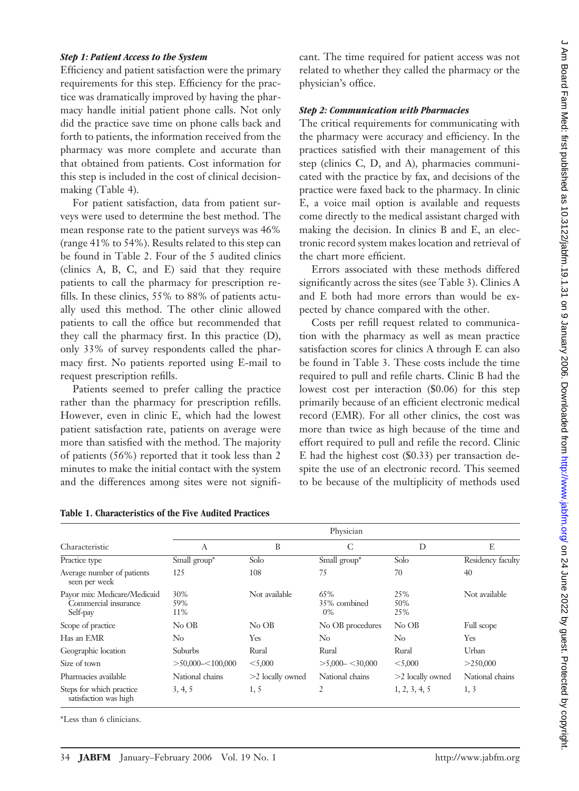#### *Step 1: Patient Access to the System*

Efficiency and patient satisfaction were the primary requirements for this step. Efficiency for the practice was dramatically improved by having the pharmacy handle initial patient phone calls. Not only did the practice save time on phone calls back and forth to patients, the information received from the pharmacy was more complete and accurate than that obtained from patients. Cost information for this step is included in the cost of clinical decisionmaking (Table 4).

For patient satisfaction, data from patient surveys were used to determine the best method. The mean response rate to the patient surveys was 46% (range 41% to 54%). Results related to this step can be found in Table 2. Four of the 5 audited clinics (clinics A, B, C, and E) said that they require patients to call the pharmacy for prescription refills. In these clinics, 55% to 88% of patients actually used this method. The other clinic allowed patients to call the office but recommended that they call the pharmacy first. In this practice (D), only 33% of survey respondents called the pharmacy first. No patients reported using E-mail to request prescription refills.

Patients seemed to prefer calling the practice rather than the pharmacy for prescription refills. However, even in clinic E, which had the lowest patient satisfaction rate, patients on average were more than satisfied with the method. The majority of patients (56%) reported that it took less than 2 minutes to make the initial contact with the system and the differences among sites were not significant. The time required for patient access was not related to whether they called the pharmacy or the physician's office.

#### *Step 2: Communication with Pharmacies*

The critical requirements for communicating with the pharmacy were accuracy and efficiency. In the practices satisfied with their management of this step (clinics C, D, and A), pharmacies communicated with the practice by fax, and decisions of the practice were faxed back to the pharmacy. In clinic E, a voice mail option is available and requests come directly to the medical assistant charged with making the decision. In clinics B and E, an electronic record system makes location and retrieval of the chart more efficient.

Errors associated with these methods differed significantly across the sites (see Table 3). Clinics A and E both had more errors than would be expected by chance compared with the other.

Costs per refill request related to communication with the pharmacy as well as mean practice satisfaction scores for clinics A through E can also be found in Table 3. These costs include the time required to pull and refile charts. Clinic B had the lowest cost per interaction (\$0.06) for this step primarily because of an efficient electronic medical record (EMR). For all other clinics, the cost was more than twice as high because of the time and effort required to pull and refile the record. Clinic E had the highest cost (\$0.33) per transaction despite the use of an electronic record. This seemed to be because of the multiplicity of methods used

|                                                                  | Physician            |                    |                              |                    |                   |  |
|------------------------------------------------------------------|----------------------|--------------------|------------------------------|--------------------|-------------------|--|
| Characteristic                                                   | А                    | B                  | C                            | D                  | E                 |  |
| Practice type                                                    | Small group*         | Solo               | Small group*                 | Solo               | Residency faculty |  |
| Average number of patients<br>seen per week                      | 125                  | 108                | 75                           | 70                 | 40                |  |
| Payor mix: Medicare/Medicaid<br>Commercial insurance<br>Self-pay | 30%<br>59%<br>11%    | Not available      | 65%<br>35% combined<br>$0\%$ | 25%<br>50%<br>25%  | Not available     |  |
| Scope of practice                                                | NoOB                 | NoOB               | No OB procedures             | NoOB               | Full scope        |  |
| Has an EMR                                                       | $\rm No$             | Yes                | $\rm No$                     | $\rm No$           | Yes               |  |
| Geographic location                                              | <b>Suburbs</b>       | Rural              | Rural                        | Rural              | Urban             |  |
| Size of town                                                     | $> 50,000 - 100,000$ | < 5,000            | $>5,000-<30,000$             | < 5,000            | >250,000          |  |
| Pharmacies available                                             | National chains      | $>2$ locally owned | National chains              | $>2$ locally owned | National chains   |  |
| Steps for which practice<br>satisfaction was high                | 3, 4, 5              | 1, 5               | 2                            | 1, 2, 3, 4, 5      | 1, 3              |  |

| Table 1. Characteristics of the Five Audited Practices |  |  |  |
|--------------------------------------------------------|--|--|--|
|--------------------------------------------------------|--|--|--|

\*Less than 6 clinicians.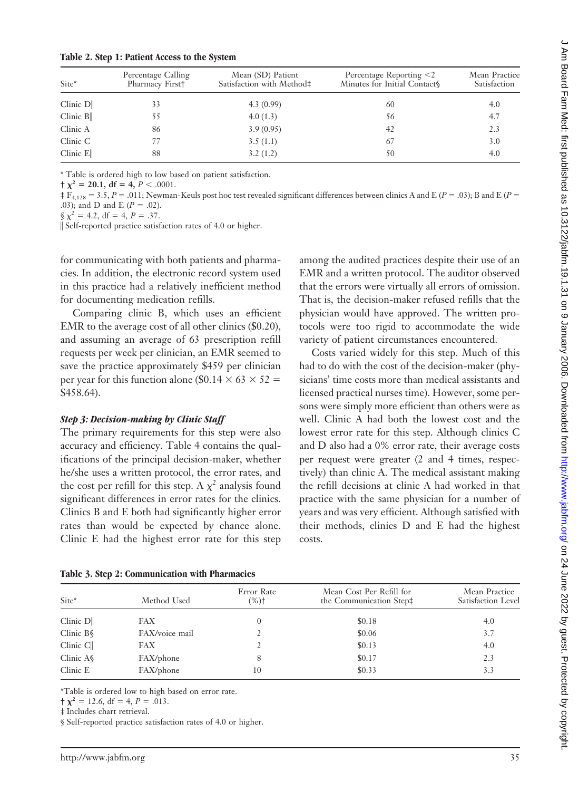| Table 2. Step 1: Patient Access to the System |  |  |  |  |  |  |  |
|-----------------------------------------------|--|--|--|--|--|--|--|
|-----------------------------------------------|--|--|--|--|--|--|--|

| Site*      | Percentage Calling<br>Pharmacy First <sup>+</sup> | Mean (SD) Patient<br>Satisfaction with Method‡ | Percentage Reporting <2<br>Minutes for Initial Contact | Mean Practice<br>Satisfaction |
|------------|---------------------------------------------------|------------------------------------------------|--------------------------------------------------------|-------------------------------|
| Clinic $D$ | 33                                                | 4.3(0.99)                                      | 60                                                     | 4.0                           |
| Clinic $B$ | 55                                                | 4.0(1.3)                                       | 56                                                     | 4.7                           |
| Clinic A   | 86                                                | 3.9(0.95)                                      | 42                                                     | 2.3                           |
| Clinic C   |                                                   | 3.5(1.1)                                       | 67                                                     | 3.0                           |
| Clinic $E$ | 88                                                | 3.2(1.2)                                       | 50                                                     | 4.0                           |

\* Table is ordered high to low based on patient satisfaction.

 $\dagger \chi^2 = 20.1$ , df = 4,  $P < .0001$ .

 $\ddagger$  F<sub>4,128</sub> = 3.5, *P* = .011; Newman-Keuls post hoc test revealed significant differences between clinics A and E (*P* = .03); B and E (*P* = .03); and D and E ( $P = .02$ ).

 $\oint \chi^2 = 4.2$ , df = 4, P = .37.

Self-reported practice satisfaction rates of 4.0 or higher.

for communicating with both patients and pharmacies. In addition, the electronic record system used in this practice had a relatively inefficient method for documenting medication refills.

Comparing clinic B, which uses an efficient EMR to the average cost of all other clinics (\$0.20), and assuming an average of 63 prescription refill requests per week per clinician, an EMR seemed to save the practice approximately \$459 per clinician per year for this function alone (\$0.14  $\times$  63  $\times$  52 = \$458.64).

#### *Step 3: Decision-making by Clinic Staff*

The primary requirements for this step were also accuracy and efficiency. Table 4 contains the qualifications of the principal decision-maker, whether he/she uses a written protocol, the error rates, and the cost per refill for this step. A  $\chi^2$  analysis found significant differences in error rates for the clinics. Clinics B and E both had significantly higher error rates than would be expected by chance alone. Clinic E had the highest error rate for this step among the audited practices despite their use of an EMR and a written protocol. The auditor observed that the errors were virtually all errors of omission. That is, the decision-maker refused refills that the physician would have approved. The written protocols were too rigid to accommodate the wide variety of patient circumstances encountered.

Costs varied widely for this step. Much of this had to do with the cost of the decision-maker (physicians' time costs more than medical assistants and licensed practical nurses time). However, some persons were simply more efficient than others were as well. Clinic A had both the lowest cost and the lowest error rate for this step. Although clinics C and D also had a 0% error rate, their average costs per request were greater (2 and 4 times, respectively) than clinic A. The medical assistant making the refill decisions at clinic A had worked in that practice with the same physician for a number of years and was very efficient. Although satisfied with their methods, clinics D and E had the highest costs.

| Site*                 | Method Used    | Error Rate<br>$(\%)$ † | Mean Cost Per Refill for<br>the Communication Step‡ | Mean Practice<br>Satisfaction Level |
|-----------------------|----------------|------------------------|-----------------------------------------------------|-------------------------------------|
| Clinic $D$            | FAX.           |                        | \$0.18                                              | 4.0                                 |
| Clinic B <sub>§</sub> | FAX/voice mail |                        | \$0.06                                              | 3.7                                 |
| Clinic $C$            | FAX            |                        | \$0.13                                              | 4.0                                 |
| Clinic A <sub>§</sub> | FAX/phone      | 8                      | \$0.17                                              | 2.3                                 |
| Clinic E              | FAX/phone      | 10                     | \$0.33                                              | 3.3                                 |

**Table 3. Step 2: Communication with Pharmacies**

\*Table is ordered low to high based on error rate.

 $\dagger \chi^2 = 12.6$ , df = 4,  $P = .013$ .

‡ Includes chart retrieval.

§ Self-reported practice satisfaction rates of 4.0 or higher.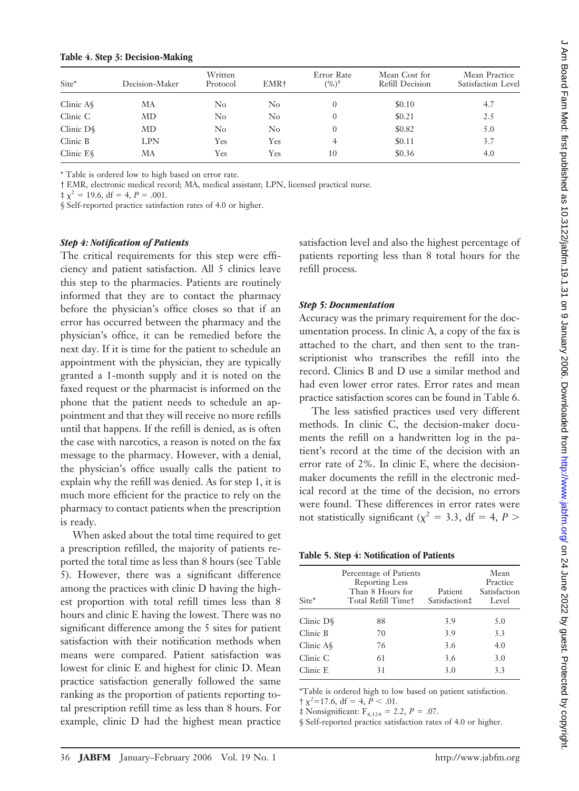| Site*                 | Decision-Maker | Written<br>Protocol | EMR <sup>+</sup> | Error Rate<br>$(%)^{\ddagger}$ | Mean Cost for<br>Refill Decision | Mean Practice<br>Satisfaction Level |
|-----------------------|----------------|---------------------|------------------|--------------------------------|----------------------------------|-------------------------------------|
| Clinic A <sub>§</sub> | MA             | No                  | $\rm No$         | $\Omega$                       | \$0.10                           | 4.7                                 |
| Clinic C              | MD             | No                  | $\rm No$         | $\Omega$                       | \$0.21                           | 2.5                                 |
| Clinic D <sub>§</sub> | MD             | No                  | $\rm No$         | $\Omega$                       | \$0.82                           | 5.0                                 |
| Clinic B              | LPN            | Yes                 | Yes              | 4                              | \$0.11                           | 3.7                                 |
| Clinic E <sub>§</sub> | MA             | Yes                 | Yes              | 10                             | \$0.36                           | 4.0                                 |

\* Table is ordered low to high based on error rate.

† EMR, electronic medical record; MA, medical assistant; LPN, licensed practical nurse.

 $\ddagger \chi^2 = 19.6$ , df = 4, *P* = .001.

§ Self-reported practice satisfaction rates of 4.0 or higher.

#### *Step 4: Notification of Patients*

The critical requirements for this step were efficiency and patient satisfaction. All 5 clinics leave this step to the pharmacies. Patients are routinely informed that they are to contact the pharmacy before the physician's office closes so that if an error has occurred between the pharmacy and the physician's office, it can be remedied before the next day. If it is time for the patient to schedule an appointment with the physician, they are typically granted a 1-month supply and it is noted on the faxed request or the pharmacist is informed on the phone that the patient needs to schedule an appointment and that they will receive no more refills until that happens. If the refill is denied, as is often the case with narcotics, a reason is noted on the fax message to the pharmacy. However, with a denial, the physician's office usually calls the patient to explain why the refill was denied. As for step 1, it is much more efficient for the practice to rely on the pharmacy to contact patients when the prescription is ready.

When asked about the total time required to get a prescription refilled, the majority of patients reported the total time as less than 8 hours (see Table 5). However, there was a significant difference among the practices with clinic D having the highest proportion with total refill times less than 8 hours and clinic E having the lowest. There was no significant difference among the 5 sites for patient satisfaction with their notification methods when means were compared. Patient satisfaction was lowest for clinic E and highest for clinic D. Mean practice satisfaction generally followed the same ranking as the proportion of patients reporting total prescription refill time as less than 8 hours. For example, clinic D had the highest mean practice satisfaction level and also the highest percentage of patients reporting less than 8 total hours for the refill process.

#### *Step 5: Documentation*

Accuracy was the primary requirement for the documentation process. In clinic A, a copy of the fax is attached to the chart, and then sent to the transcriptionist who transcribes the refill into the record. Clinics B and D use a similar method and had even lower error rates. Error rates and mean practice satisfaction scores can be found in Table 6.

The less satisfied practices used very different methods. In clinic C, the decision-maker documents the refill on a handwritten log in the patient's record at the time of the decision with an error rate of 2%. In clinic E, where the decisionmaker documents the refill in the electronic medical record at the time of the decision, no errors were found. These differences in error rates were not statistically significant ( $\chi^2 = 3.3$ , df = 4, *P* >

|  | Table 5. Step 4: Notification of Patients |  |
|--|-------------------------------------------|--|
|--|-------------------------------------------|--|

| Site*                 | Percentage of Patients<br>Reporting Less<br>Than 8 Hours for<br>Total Refill Time† | Patient<br>Satisfaction‡ | Mean<br>Practice<br>Satisfaction<br>Level |
|-----------------------|------------------------------------------------------------------------------------|--------------------------|-------------------------------------------|
| Clinic D <sub>§</sub> | 88                                                                                 | 3.9                      | 5.0                                       |
| Clinic B              | 70                                                                                 | 3.9                      | 3.3                                       |
| Clinic A <sub>§</sub> | 76                                                                                 | 3.6                      | 4.0                                       |
| Clinic C              | 61                                                                                 | 3.6                      | 3.0                                       |
| Clinic E              | 31                                                                                 | 3.0                      | 3.3                                       |

\*Table is ordered high to low based on patient satisfaction.

 $\uparrow \chi^2 = 17.6$ , df = 4, *P* < .01.  $\ddagger$  Nonsignificant:  $F_{4,124} = 2.2, P = .07$ .

§ Self-reported practice satisfaction rates of 4.0 or higher.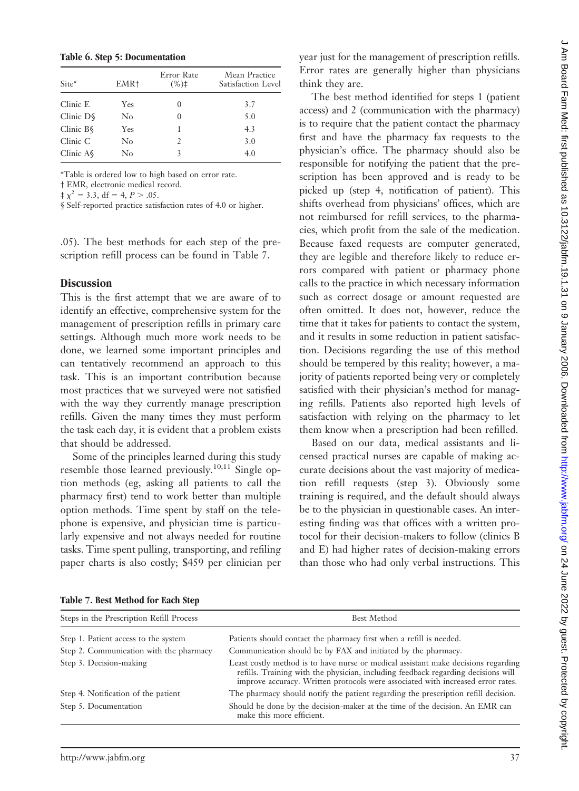#### **Table 6. Step 5: Documentation**

| Site*                 | EMR <sup>+</sup> | Error Rate<br>$(\% )$ $\ddagger$ | Mean Practice<br>Satisfaction Level |
|-----------------------|------------------|----------------------------------|-------------------------------------|
| Clinic E              | Yes              | $\theta$                         | 3.7                                 |
| Clinic D <sub>§</sub> | No               | $\left( \right)$                 | 5.0                                 |
| Clinic B <sub>§</sub> | Yes              | 1                                | 4.3                                 |
| Clinic C              | $\rm No$         | $\mathcal{P}$                    | 3.0                                 |
| Clinic A <sub>§</sub> | No               | 3                                | 4.0                                 |

\*Table is ordered low to high based on error rate.

† EMR, electronic medical record.

 $\ddagger \chi^2 = 3.3$ , df = 4, *P* > .05.

§ Self-reported practice satisfaction rates of 4.0 or higher.

.05). The best methods for each step of the prescription refill process can be found in Table 7.

## **Discussion**

This is the first attempt that we are aware of to identify an effective, comprehensive system for the management of prescription refills in primary care settings. Although much more work needs to be done, we learned some important principles and can tentatively recommend an approach to this task. This is an important contribution because most practices that we surveyed were not satisfied with the way they currently manage prescription refills. Given the many times they must perform the task each day, it is evident that a problem exists that should be addressed.

Some of the principles learned during this study resemble those learned previously.<sup>10,11</sup> Single option methods (eg, asking all patients to call the pharmacy first) tend to work better than multiple option methods. Time spent by staff on the telephone is expensive, and physician time is particularly expensive and not always needed for routine tasks. Time spent pulling, transporting, and refiling paper charts is also costly; \$459 per clinician per year just for the management of prescription refills. Error rates are generally higher than physicians think they are.

The best method identified for steps 1 (patient access) and 2 (communication with the pharmacy) is to require that the patient contact the pharmacy first and have the pharmacy fax requests to the physician's office. The pharmacy should also be responsible for notifying the patient that the prescription has been approved and is ready to be picked up (step 4, notification of patient). This shifts overhead from physicians' offices, which are not reimbursed for refill services, to the pharmacies, which profit from the sale of the medication. Because faxed requests are computer generated, they are legible and therefore likely to reduce errors compared with patient or pharmacy phone calls to the practice in which necessary information such as correct dosage or amount requested are often omitted. It does not, however, reduce the time that it takes for patients to contact the system, and it results in some reduction in patient satisfaction. Decisions regarding the use of this method should be tempered by this reality; however, a majority of patients reported being very or completely satisfied with their physician's method for managing refills. Patients also reported high levels of satisfaction with relying on the pharmacy to let them know when a prescription had been refilled.

Based on our data, medical assistants and licensed practical nurses are capable of making accurate decisions about the vast majority of medication refill requests (step 3). Obviously some training is required, and the default should always be to the physician in questionable cases. An interesting finding was that offices with a written protocol for their decision-makers to follow (clinics B and E) had higher rates of decision-making errors than those who had only verbal instructions. This

| Steps in the Prescription Refill Process | <b>Best Method</b>                                                                                                                                                                                                                                         |  |  |
|------------------------------------------|------------------------------------------------------------------------------------------------------------------------------------------------------------------------------------------------------------------------------------------------------------|--|--|
| Step 1. Patient access to the system     | Patients should contact the pharmacy first when a refill is needed.                                                                                                                                                                                        |  |  |
| Step 2. Communication with the pharmacy  | Communication should be by FAX and initiated by the pharmacy.                                                                                                                                                                                              |  |  |
| Step 3. Decision-making                  | Least costly method is to have nurse or medical assistant make decisions regarding<br>refills. Training with the physician, including feedback regarding decisions will<br>improve accuracy. Written protocols were associated with increased error rates. |  |  |
| Step 4. Notification of the patient      | The pharmacy should notify the patient regarding the prescription refill decision.                                                                                                                                                                         |  |  |
| Step 5. Documentation                    | Should be done by the decision-maker at the time of the decision. An EMR can<br>make this more efficient.                                                                                                                                                  |  |  |

**Table 7. Best Method for Each Step**